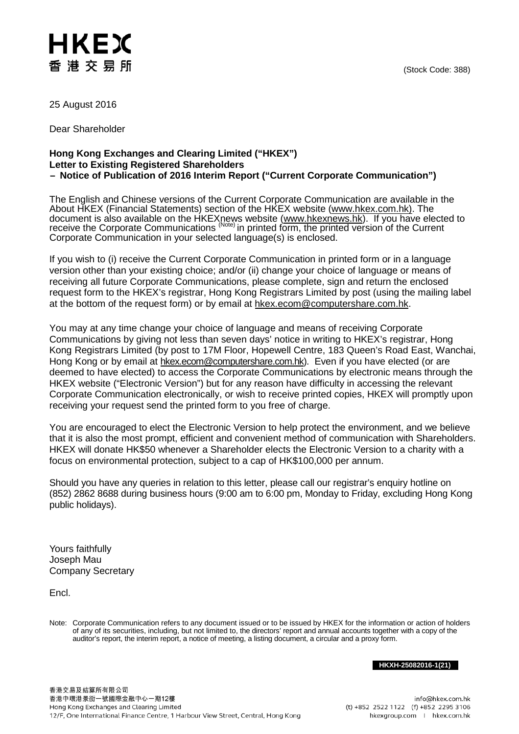## HKEX 香港交易所

25 August 2016

Dear Shareholder

## **Hong Kong Exchanges and Clearing Limited ("HKEX") Letter to Existing Registered Shareholders – Notice of Publication of 2016 Interim Report ("Current Corporate Communication")**

The English and Chinese versions of the Current Corporate Communication are available in the About HKEX (Financial Statements) section of the HKEX website [\(www.hkex.com.hk\)](http://www.hkex.com.hk/). The document is also available on the HKEXnews website <u>(www.hkexnews.hk</u>). If you have elected to receive the Corporate Communications <sup>(Note)</sup> in printed form, the printed version of the Current Corporate Communication in your selected language(s) is enclosed.

If you wish to (i) receive the Current Corporate Communication in printed form or in a language version other than your existing choice; and/or (ii) change your choice of language or means of receiving all future Corporate Communications, please complete, sign and return the enclosed request form to the HKEX's registrar, Hong Kong Registrars Limited by post (using the mailing label at the bottom of the request form) or by email at [hkex.ecom@computershare.com.hk.](mailto:hkex.ecom@computershare.com.hk)

You may at any time change your choice of language and means of receiving Corporate Communications by giving not less than seven days' notice in writing to HKEX's registrar, Hong Kong Registrars Limited (by post to 17M Floor, Hopewell Centre, 183 Queen's Road East, Wanchai, Hong Kong or by email at [hkex.ecom@computershare.com.hk\)](mailto:hkex.ecom@computershare.com.hk). Even if you have elected (or are deemed to have elected) to access the Corporate Communications by electronic means through the HKEX website ("Electronic Version") but for any reason have difficulty in accessing the relevant Corporate Communication electronically, or wish to receive printed copies, HKEX will promptly upon receiving your request send the printed form to you free of charge.

You are encouraged to elect the Electronic Version to help protect the environment, and we believe that it is also the most prompt, efficient and convenient method of communication with Shareholders. HKEX will donate HK\$50 whenever a Shareholder elects the Electronic Version to a charity with a focus on environmental protection, subject to a cap of HK\$100,000 per annum.

Should you have any queries in relation to this letter, please call our registrar's enquiry hotline on (852) 2862 8688 during business hours (9:00 am to 6:00 pm, Monday to Friday, excluding Hong Kong public holidays).

Yours faithfully Joseph Mau Company Secretary

Encl.

Note: Corporate Communication refers to any document issued or to be issued by HKEX for the information or action of holders of any of its securities, including, but not limited to, the directors' report and annual accounts together with a copy of the auditor's report, the interim report, a notice of meeting, a listing document, a circular and a proxy form.

**HKXH-25082016-1(21)**